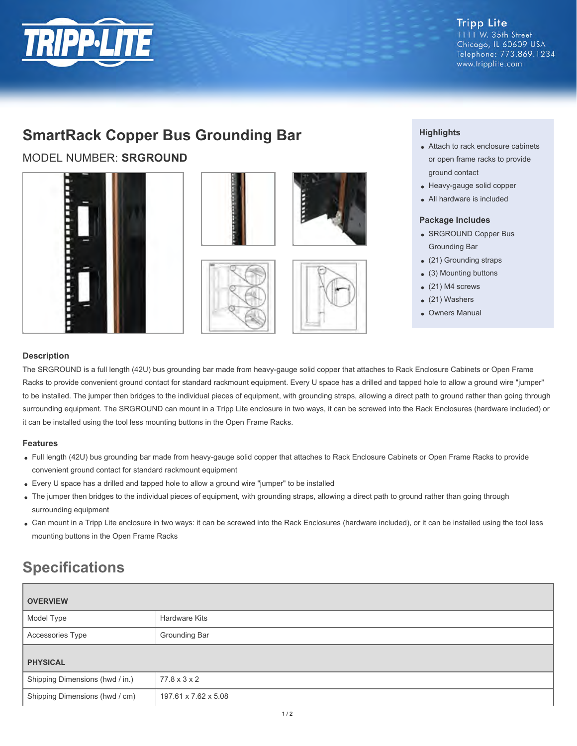

#### **Tripp Lite** 1111 W. 35th Street Chicago, IL 60609 USA Telephone: 773.869.1234 www.tripplite.com

## **SmartRack Copper Bus Grounding Bar**

MODEL NUMBER: **SRGROUND**













### **Highlights**

- Attach to rack enclosure cabinets or open frame racks to provide ground contact
- Heavy-gauge solid copper
- All hardware is included

#### **Package Includes**

- SRGROUND Copper Bus Grounding Bar
- (21) Grounding straps
- (3) Mounting buttons
- (21) M4 screws
- (21) Washers
- Owners Manual

#### **Description**

The SRGROUND is a full length (42U) bus grounding bar made from heavy-gauge solid copper that attaches to Rack Enclosure Cabinets or Open Frame Racks to provide convenient ground contact for standard rackmount equipment. Every U space has a drilled and tapped hole to allow a ground wire "jumper" to be installed. The jumper then bridges to the individual pieces of equipment, with grounding straps, allowing a direct path to ground rather than going through surrounding equipment. The SRGROUND can mount in a Tripp Lite enclosure in two ways, it can be screwed into the Rack Enclosures (hardware included) or it can be installed using the tool less mounting buttons in the Open Frame Racks.

#### **Features**

- Full length (42U) bus grounding bar made from heavy-gauge solid copper that attaches to Rack Enclosure Cabinets or Open Frame Racks to provide convenient ground contact for standard rackmount equipment
- Every U space has a drilled and tapped hole to allow a ground wire "jumper" to be installed
- The jumper then bridges to the individual pieces of equipment, with grounding straps, allowing a direct path to ground rather than going through surrounding equipment
- Can mount in a Tripp Lite enclosure in two ways: it can be screwed into the Rack Enclosures (hardware included), or it can be installed using the tool less mounting buttons in the Open Frame Racks

# **Specifications**

| <b>OVERVIEW</b>                 |                          |
|---------------------------------|--------------------------|
| Model Type                      | Hardware Kits            |
| <b>Accessories Type</b>         | Grounding Bar            |
| <b>PHYSICAL</b>                 |                          |
| Shipping Dimensions (hwd / in.) | $77.8 \times 3 \times 2$ |
| Shipping Dimensions (hwd / cm)  | 197.61 x 7.62 x 5.08     |